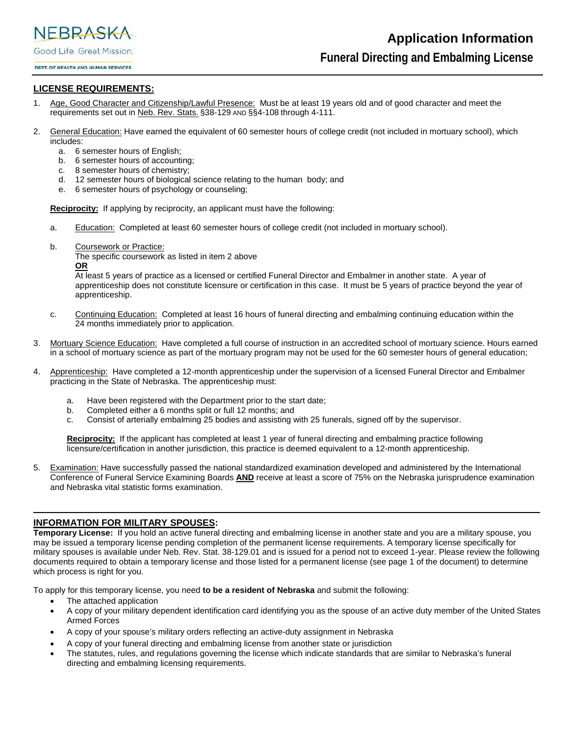NEBRASKA Good Life. Great Mission.

DEPT. OF HEALTH AND HUMAN SERVICES

# **LICENSE REQUIREMENTS:**

- 1. Age, Good Character and Citizenship/Lawful Presence: Must be at least 19 years old and of good character and meet the requirements set out in Neb. Rev. Stats. §38-129 AND §§4-108 through 4-111.
- 2. General Education: Have earned the equivalent of 60 semester hours of college credit (not included in mortuary school), which includes:
	- a. 6 semester hours of English;
	- b. 6 semester hours of accounting;
	- c. 8 semester hours of chemistry;
	- d. 12 semester hours of biological science relating to the human body; and
	- e. 6 semester hours of psychology or counseling;

**Reciprocity:** If applying by reciprocity, an applicant must have the following:

- a. Education: Completed at least 60 semester hours of college credit (not included in mortuary school).
- b. Coursework or Practice:

The specific coursework as listed in item 2 above **OR**

At least 5 years of practice as a licensed or certified Funeral Director and Embalmer in another state. A year of apprenticeship does not constitute licensure or certification in this case. It must be 5 years of practice beyond the year of apprenticeship.

- c. Continuing Education: Completed at least 16 hours of funeral directing and embalming continuing education within the 24 months immediately prior to application.
- 3. Mortuary Science Education: Have completed a full course of instruction in an accredited school of mortuary science. Hours earned in a school of mortuary science as part of the mortuary program may not be used for the 60 semester hours of general education;
- 4. Apprenticeship: Have completed a 12-month apprenticeship under the supervision of a licensed Funeral Director and Embalmer practicing in the State of Nebraska. The apprenticeship must:
	- a. Have been registered with the Department prior to the start date;
	- b. Completed either a 6 months split or full 12 months; and
	- c. Consist of arterially embalming 25 bodies and assisting with 25 funerals, signed off by the supervisor.

**Reciprocity:** If the applicant has completed at least 1 year of funeral directing and embalming practice following licensure/certification in another jurisdiction, this practice is deemed equivalent to a 12-month apprenticeship.

5. Examination: Have successfully passed the national standardized examination developed and administered by the International Conference of Funeral Service Examining Boards **AND** receive at least a score of 75% on the Nebraska jurisprudence examination and Nebraska vital statistic forms examination.

\_\_\_\_\_\_\_\_\_\_\_\_\_\_\_\_\_\_\_\_\_\_\_\_\_\_\_\_\_\_\_\_\_\_\_\_\_\_\_\_\_\_\_\_\_\_\_\_\_\_\_\_\_\_\_\_\_\_\_\_\_\_\_\_\_\_\_\_\_\_\_\_\_\_\_\_\_\_\_\_\_\_\_\_\_\_\_\_\_\_\_\_\_\_\_\_\_\_

## **INFORMATION FOR MILITARY SPOUSES:**

**Temporary License:** If you hold an active funeral directing and embalming license in another state and you are a military spouse, you may be issued a temporary license pending completion of the permanent license requirements. A temporary license specifically for military spouses is available under Neb. Rev. Stat. 38-129.01 and is issued for a period not to exceed 1-year. Please review the following documents required to obtain a temporary license and those listed for a permanent license (see page 1 of the document) to determine which process is right for you.

To apply for this temporary license, you need **to be a resident of Nebraska** and submit the following:

- The attached application
- A copy of your military dependent identification card identifying you as the spouse of an active duty member of the United States Armed Forces
- A copy of your spouse's military orders reflecting an active-duty assignment in Nebraska
- A copy of your funeral directing and embalming license from another state or jurisdiction
- The statutes, rules, and regulations governing the license which indicate standards that are similar to Nebraska's funeral directing and embalming licensing requirements.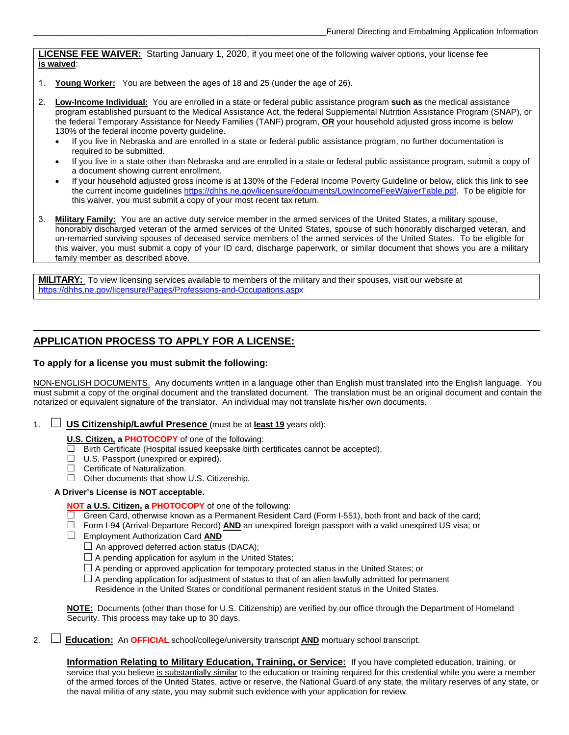**LICENSE FEE WAIVER:** Starting January 1, 2020, if you meet one of the following waiver options, your license fee **is waived**:

- 1. **Young Worker:** You are between the ages of 18 and 25 (under the age of 26).
- 2. **Low-Income Individual:** You are enrolled in a state or federal public assistance program **such as** the medical assistance program established pursuant to the Medical Assistance Act, the federal Supplemental Nutrition Assistance Program (SNAP), or the federal Temporary Assistance for Needy Families (TANF) program, **OR** your household adjusted gross income is below 130% of the federal income poverty guideline.
	- If you live in Nebraska and are enrolled in a state or federal public assistance program, no further documentation is required to be submitted.
	- If you live in a state other than Nebraska and are enrolled in a state or federal public assistance program, submit a copy of a document showing current enrollment.
	- If your household adjusted gross income is at 130% of the Federal Income Poverty Guideline or below, click this link to see the current income guidelines https[://dhhs.ne.gov/licensure/documents/LowIncomeFeeWaiverTable.pdf.](https://dhhs.ne.gov/licensure/documents/LowIncomeFeeWaiverTable.pdf) To be eligible for this waiver, you must submit a copy of your most recent tax return.
- 3. **Military Family:** You are an active duty service member in the armed services of the United States, a military spouse, honorably discharged veteran of the armed services of the United States, spouse of such honorably discharged veteran, and un-remarried surviving spouses of deceased service members of the armed services of the United States. To be eligible for this waiver, you must submit a copy of your ID card, discharge paperwork, or similar document that shows you are a military family member as described above.

**MILITARY:** To view licensing services available to members of the military and their spouses, visit our website at https[://dhhs.ne.gov/licensure/Pages/Professions-and-Occupations.aspx](https://dhhs.ne.gov/licensure/Pages/Professions-and-Occupations.aspx)

# **APPLICATION PROCESS TO APPLY FOR A LICENSE:**

### **To apply for a license you must submit the following:**

NON-ENGLISH DOCUMENTS. Any documents written in a language other than English must translated into the English language. You must submit a copy of the original document and the translated document. The translation must be an original document and contain the notarized or equivalent signature of the translator. An individual may not translate his/her own documents.

\_\_\_\_\_\_\_\_\_\_\_\_\_\_\_\_\_\_\_\_\_\_\_\_\_\_\_\_\_\_\_\_\_\_\_\_\_\_\_\_\_\_\_\_\_\_\_\_\_\_\_\_\_\_\_\_\_\_\_\_\_\_\_\_\_\_\_\_\_\_\_\_\_\_\_\_\_\_\_\_\_\_\_\_\_\_\_\_\_\_\_\_\_\_\_\_\_\_

1. **US Citizenship/Lawful Presence** (must be at **least 19** years old):

**U.S. Citizen, a PHOTOCOPY** of one of the following:

- $\Box$  Birth Certificate (Hospital issued keepsake birth certificates cannot be accepted).
- $\Box$  U.S. Passport (unexpired or expired).
- $\Box$  Certificate of Naturalization.
- $\Box$  Other documents that show U.S. Citizenship.

#### **A Driver's License is NOT acceptable.**

#### **NOT a U.S. Citizen, a PHOTOCOPY** of one of the following:

- $\Box$  Green Card, otherwise known as a Permanent Resident Card (Form I-551), both front and back of the card;
- Form I-94 (Arrival-Departure Record) **AND** an unexpired foreign passport with a valid unexpired US visa; or
- Employment Authorization Card **AND** 
	- $\Box$  An approved deferred action status (DACA);
	- $\Box$  A pending application for asylum in the United States;
	- $\Box$  A pending or approved application for temporary protected status in the United States; or
	- $\Box$  A pending application for adjustment of status to that of an alien lawfully admitted for permanent Residence in the United States or conditional permanent resident status in the United States.

**NOTE:** Documents (other than those for U.S. Citizenship) are verified by our office through the Department of Homeland Security. This process may take up to 30 days.

2. **Education:** An **OFFICIAL** school/college/university transcript **AND** mortuary school transcript.

**Information Relating to Military Education, Training, or Service:** If you have completed education, training, or service that you believe is substantially similar to the education or training required for this credential while you were a member of the armed forces of the United States, active or reserve, the National Guard of any state, the military reserves of any state, or the naval militia of any state, you may submit such evidence with your application for review.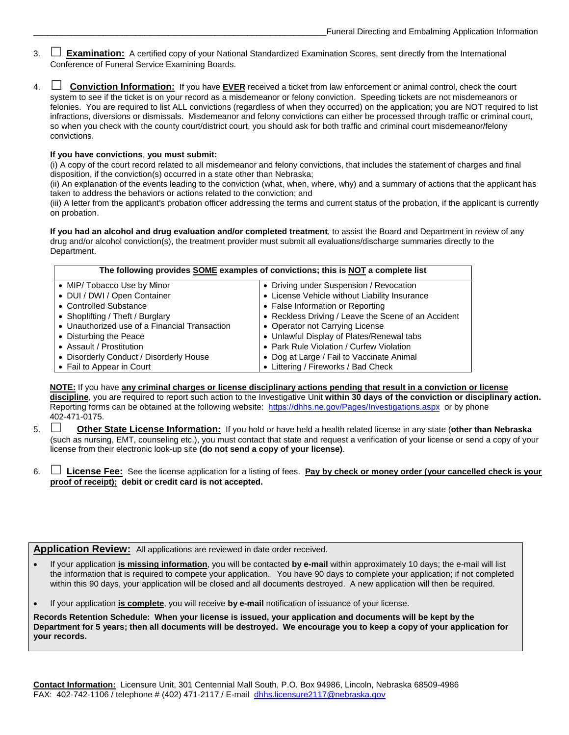- 3.  **Examination:** A certified copy of your National Standardized Examination Scores, sent directly from the International Conference of Funeral Service Examining Boards.
- 4.  **Conviction Information:** If you have **EVER** received a ticket from law enforcement or animal control, check the court system to see if the ticket is on your record as a misdemeanor or felony conviction. Speeding tickets are not misdemeanors or felonies. You are required to list ALL convictions (regardless of when they occurred) on the application; you are NOT required to list infractions, diversions or dismissals. Misdemeanor and felony convictions can either be processed through traffic or criminal court, so when you check with the county court/district court, you should ask for both traffic and criminal court misdemeanor/felony convictions.

#### **If you have convictions**, **you must submit:**

(i) A copy of the court record related to all misdemeanor and felony convictions, that includes the statement of charges and final disposition, if the conviction(s) occurred in a state other than Nebraska;

(ii) An explanation of the events leading to the conviction (what, when, where, why) and a summary of actions that the applicant has taken to address the behaviors or actions related to the conviction; and

(iii) A letter from the applicant's probation officer addressing the terms and current status of the probation, if the applicant is currently on probation.

**If you had an alcohol and drug evaluation and/or completed treatment**, to assist the Board and Department in review of any drug and/or alcohol conviction(s), the treatment provider must submit all evaluations/discharge summaries directly to the Department.

| The following provides SOME examples of convictions; this is NOT a complete list |                                                     |  |  |  |  |
|----------------------------------------------------------------------------------|-----------------------------------------------------|--|--|--|--|
| • MIP/ Tobacco Use by Minor                                                      | • Driving under Suspension / Revocation             |  |  |  |  |
| • DUI / DWI / Open Container                                                     | • License Vehicle without Liability Insurance       |  |  |  |  |
| • Controlled Substance                                                           | • False Information or Reporting                    |  |  |  |  |
| • Shoplifting / Theft / Burglary                                                 | • Reckless Driving / Leave the Scene of an Accident |  |  |  |  |
| • Unauthorized use of a Financial Transaction                                    | • Operator not Carrying License                     |  |  |  |  |
| • Disturbing the Peace                                                           | • Unlawful Display of Plates/Renewal tabs           |  |  |  |  |
| • Assault / Prostitution                                                         | • Park Rule Violation / Curfew Violation            |  |  |  |  |
| • Disorderly Conduct / Disorderly House                                          | • Dog at Large / Fail to Vaccinate Animal           |  |  |  |  |
| • Fail to Appear in Court                                                        | • Littering / Fireworks / Bad Check                 |  |  |  |  |

**NOTE:** If you have **any criminal charges or license disciplinary actions pending that result in a conviction or license discipline**, you are required to report such action to the Investigative Unit **within 30 days of the conviction or disciplinary action.**  Reporting forms can be obtained at the following website: https[://dhhs.ne.gov/Pages/Investigations.aspx](https://dhhs.ne.gov/Pages/investigations.aspx) or by phone 402-471-0175.

- 5. **Other State License Information:** If you hold or have held a health related license in any state (**other than Nebraska** (such as nursing, EMT, counseling etc.), you must contact that state and request a verification of your license or send a copy of your license from their electronic look-up site **(do not send a copy of your license)**.
- 6. **License Fee:** See the license application for a listing of fees. **Pay by check or money order (your cancelled check is your proof of receipt); debit or credit card is not accepted.**

**Application Review:** All applications are reviewed in date order received.

- If your application **is missing information**, you will be contacted **by e-mail** within approximately 10 days; the e-mail will list the information that is required to compete your application. You have 90 days to complete your application; if not completed within this 90 days, your application will be closed and all documents destroyed. A new application will then be required.
- If your application **is complete**, you will receive **by e-mail** notification of issuance of your license.

**Records Retention Schedule: When your license is issued, your application and documents will be kept by the Department for 5 years; then all documents will be destroyed. We encourage you to keep a copy of your application for your records.**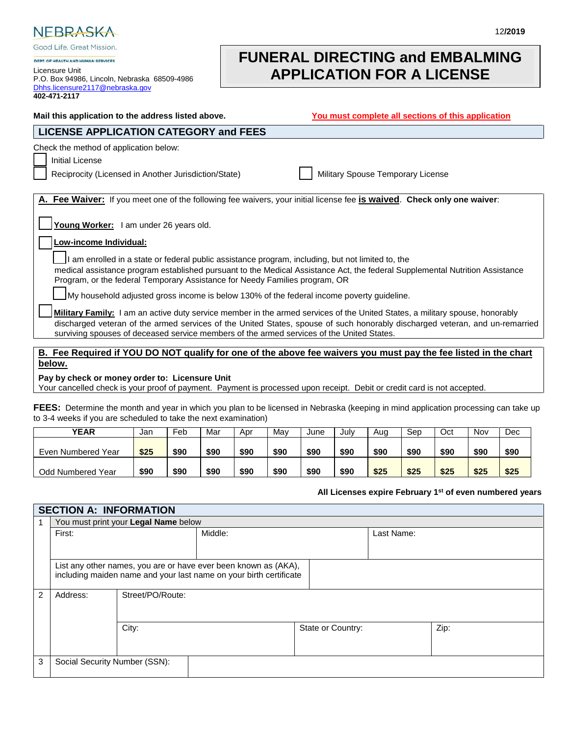

Good Life. Great Mission.

DEPT OF HEALTH AND HUMAN SEDVICES Licensure Unit P.O. Box 94986, Lincoln, Nebraska 68509-4986 [Dhhs.licensure2117@nebraska.gov](mailto:Dhhs.licensure2117@nebraska.gov)  **402-471-2117**

# **FUNERAL DIRECTING and EMBALMING APPLICATION FOR A LICENSE**

| Mail this application to the address listed above.                                                                                                                                                                                                                                                                                                               | You must complete all sections of this application |
|------------------------------------------------------------------------------------------------------------------------------------------------------------------------------------------------------------------------------------------------------------------------------------------------------------------------------------------------------------------|----------------------------------------------------|
| <b>LICENSE APPLICATION CATEGORY and FEES</b>                                                                                                                                                                                                                                                                                                                     |                                                    |
| Check the method of application below:<br><b>Initial License</b><br>Reciprocity (Licensed in Another Jurisdiction/State)                                                                                                                                                                                                                                         | Military Spouse Temporary License                  |
| A. Fee Waiver: If you meet one of the following fee waivers, your initial license fee is waived. Check only one waiver:<br>Young Worker: I am under 26 years old.                                                                                                                                                                                                |                                                    |
| Low-income Individual:                                                                                                                                                                                                                                                                                                                                           |                                                    |
| I am enrolled in a state or federal public assistance program, including, but not limited to, the<br>medical assistance program established pursuant to the Medical Assistance Act, the federal Supplemental Nutrition Assistance<br>Program, or the federal Temporary Assistance for Needy Families program, OR                                                 |                                                    |
| My household adjusted gross income is below 130% of the federal income poverty guideline.                                                                                                                                                                                                                                                                        |                                                    |
| <b>Military Family:</b> I am an active duty service member in the armed services of the United States, a military spouse, honorably<br>discharged veteran of the armed services of the United States, spouse of such honorably discharged veteran, and un-remarried<br>surviving spouses of deceased service members of the armed services of the United States. |                                                    |

**B. Fee Required if YOU DO NOT qualify for one of the above fee waivers you must pay the fee listed in the chart below.** 

**Pay by check or money order to: Licensure Unit**

Your cancelled check is your proof of payment. Payment is processed upon receipt. Debit or credit card is not accepted.

**FEES:** Determine the month and year in which you plan to be licensed in Nebraska (keeping in mind application processing can take up to 3-4 weeks if you are scheduled to take the next examination)

| <b>YEAR</b>              | Jan  | Feb  | Mar  | Apr  | Mav  | June | July | Aug  | Sep  | Oct  | Nov  | Dec  |
|--------------------------|------|------|------|------|------|------|------|------|------|------|------|------|
| Even Numbered Year       | \$25 | \$90 | \$90 | \$90 | \$90 | \$90 | \$90 | \$90 | \$90 | \$90 | \$90 | \$90 |
| <b>Odd Numbered Year</b> | \$90 | \$90 | \$90 | \$90 | \$90 | \$90 | \$90 | \$25 | \$25 | \$25 | \$25 | \$25 |

#### **All Licenses expire February 1st of even numbered years**

|   | <b>SECTION A: INFORMATION</b> |                                                                                                                                       |                                      |  |            |  |  |  |  |  |
|---|-------------------------------|---------------------------------------------------------------------------------------------------------------------------------------|--------------------------------------|--|------------|--|--|--|--|--|
|   |                               |                                                                                                                                       | You must print your Legal Name below |  |            |  |  |  |  |  |
|   | First:                        |                                                                                                                                       | Middle:                              |  | Last Name: |  |  |  |  |  |
|   |                               |                                                                                                                                       |                                      |  |            |  |  |  |  |  |
|   |                               | List any other names, you are or have ever been known as (AKA),<br>including maiden name and your last name on your birth certificate |                                      |  |            |  |  |  |  |  |
| 2 | Address:                      | Street/PO/Route:                                                                                                                      |                                      |  |            |  |  |  |  |  |
|   |                               | City:<br>Zip:<br>State or Country:                                                                                                    |                                      |  |            |  |  |  |  |  |
| 3 | Social Security Number (SSN): |                                                                                                                                       |                                      |  |            |  |  |  |  |  |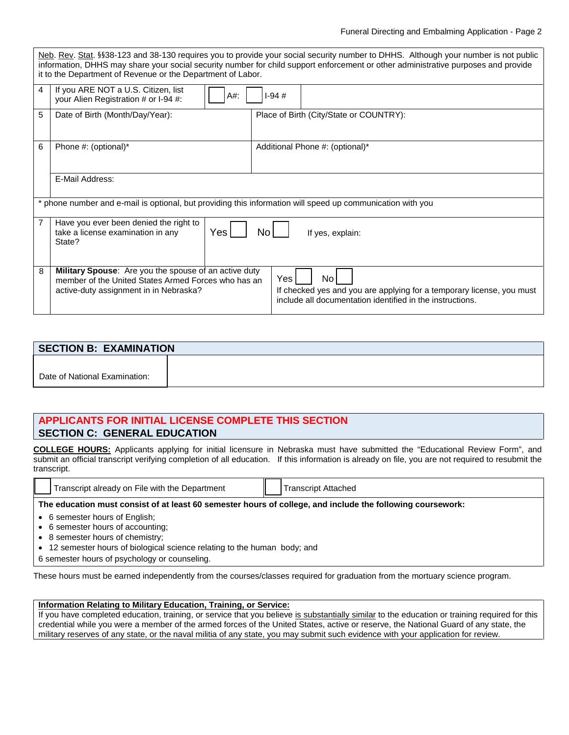|   | it to the Department of Revenue or the Department of Labor.                                                                                                   | Neb. Rev. Stat. §§38-123 and 38-130 requires you to provide your social security number to DHHS. Although your number is not public<br>information, DHHS may share your social security number for child support enforcement or other administrative purposes and provide |
|---|---------------------------------------------------------------------------------------------------------------------------------------------------------------|---------------------------------------------------------------------------------------------------------------------------------------------------------------------------------------------------------------------------------------------------------------------------|
| 4 | If you ARE NOT a U.S. Citizen, list<br>A#:<br>your Alien Registration # or I-94 #:                                                                            | $1-94#$                                                                                                                                                                                                                                                                   |
| 5 | Date of Birth (Month/Day/Year):                                                                                                                               | Place of Birth (City/State or COUNTRY):                                                                                                                                                                                                                                   |
| 6 | Phone #: (optional)*                                                                                                                                          | Additional Phone #: (optional)*                                                                                                                                                                                                                                           |
|   | E-Mail Address:                                                                                                                                               |                                                                                                                                                                                                                                                                           |
|   | * phone number and e-mail is optional, but providing this information will speed up communication with you                                                    |                                                                                                                                                                                                                                                                           |
| 7 | Have you ever been denied the right to<br>Yes<br>take a license examination in any<br>State?                                                                  | No.<br>If yes, explain:                                                                                                                                                                                                                                                   |
| 8 | <b>Military Spouse:</b> Are you the spouse of an active duty<br>member of the United States Armed Forces who has an<br>active-duty assignment in in Nebraska? | Yes<br>No.<br>If checked yes and you are applying for a temporary license, you must<br>include all documentation identified in the instructions.                                                                                                                          |

| <b>SECTION B: EXAMINATION</b> |  |  |  |  |
|-------------------------------|--|--|--|--|
|                               |  |  |  |  |
| Date of National Examination: |  |  |  |  |

# **APPLICANTS FOR INITIAL LICENSE COMPLETE THIS SECTION SECTION C: GENERAL EDUCATION**

**COLLEGE HOURS:** Applicants applying for initial licensure in Nebraska must have submitted the "Educational Review Form", and submit an official transcript verifying completion of all education. If this information is already on file, you are not required to resubmit the transcript.

|       | Department<br>l ranscript<br>. File with<br>the<br>already<br>∕ or | II | Attacheo<br>. nscript^       |
|-------|--------------------------------------------------------------------|----|------------------------------|
| _____ | the control of the control of                                      |    | ---<br>____<br>______<br>___ |

## **The education must consist of at least 60 semester hours of college, and include the following coursework:**

- 6 semester hours of English;
- 6 semester hours of accounting;
- 8 semester hours of chemistry;
- 12 semester hours of biological science relating to the human body; and
- 6 semester hours of psychology or counseling.

These hours must be earned independently from the courses/classes required for graduation from the mortuary science program.

# **Information Relating to Military Education, Training, or Service:**

If you have completed education, training, or service that you believe is substantially similar to the education or training required for this credential while you were a member of the armed forces of the United States, active or reserve, the National Guard of any state, the military reserves of any state, or the naval militia of any state, you may submit such evidence with your application for review.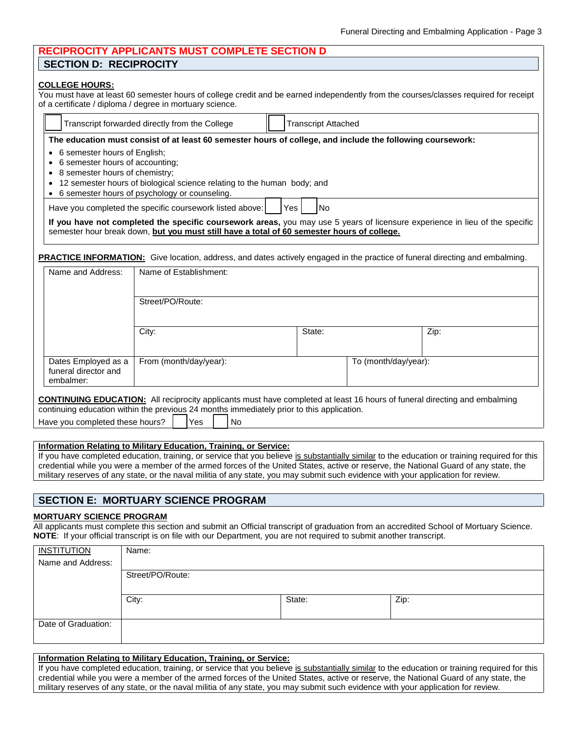| <b>RECIPROCITY APPLICANTS MUST COMPLETE SECTION D</b> |
|-------------------------------------------------------|
| <b>SECTION D: RECIPROCITY</b>                         |

#### **COLLEGE HOURS:**

You must have at least 60 semester hours of college credit and be earned independently from the courses/classes required for receipt of a certificate / diploma / degree in mortuary science.

| Transcript forwarded directly from the College |  | Transcript Attached |
|------------------------------------------------|--|---------------------|
|------------------------------------------------|--|---------------------|

• 6 semester hours of English;

- 6 semester hours of accounting;
- 8 semester hours of chemistry;
- 12 semester hours of biological science relating to the human body; and
- 6 semester hours of psychology or counseling.

Have you completed the specific coursework listed above:  $|$   $|$   $|$   $\gamma$ es  $|$   $|$   $|$  No

**If you have not completed the specific coursework areas,** you may use 5 years of licensure experience in lieu of the specific semester hour break down, **but you must still have a total of 60 semester hours of college.**

**PRACTICE INFORMATION:** Give location, address, and dates actively engaged in the practice of funeral directing and embalming.

| Name and Address:                                        | Name of Establishment: |        |                      |      |
|----------------------------------------------------------|------------------------|--------|----------------------|------|
|                                                          | Street/PO/Route:       |        |                      |      |
|                                                          | City:                  | State: |                      | Zip: |
| Dates Employed as a<br>funeral director and<br>embalmer: | From (month/day/year): |        | To (month/day/year): |      |

continuing education within the previous 24 months immediately prior to this application.

| Have you completed these hours? |  | <b>IYes</b> |  | l No |
|---------------------------------|--|-------------|--|------|
|---------------------------------|--|-------------|--|------|

#### **Information Relating to Military Education, Training, or Service:**

If you have completed education, training, or service that you believe is substantially similar to the education or training required for this credential while you were a member of the armed forces of the United States, active or reserve, the National Guard of any state, the military reserves of any state, or the naval militia of any state, you may submit such evidence with your application for review.

# **SECTION E: MORTUARY SCIENCE PROGRAM**

### **MORTUARY SCIENCE PROGRAM**

All applicants must complete this section and submit an Official transcript of graduation from an accredited School of Mortuary Science. **NOTE**: If your official transcript is on file with our Department, you are not required to submit another transcript.

| <b>INSTITUTION</b>  | Name:            |        |      |
|---------------------|------------------|--------|------|
| Name and Address:   |                  |        |      |
|                     | Street/PO/Route: |        |      |
|                     |                  |        |      |
|                     | City:            | State: | Zip: |
|                     |                  |        |      |
| Date of Graduation: |                  |        |      |
|                     |                  |        |      |

#### **Information Relating to Military Education, Training, or Service:**

If you have completed education, training, or service that you believe is substantially similar to the education or training required for this credential while you were a member of the armed forces of the United States, active or reserve, the National Guard of any state, the military reserves of any state, or the naval militia of any state, you may submit such evidence with your application for review.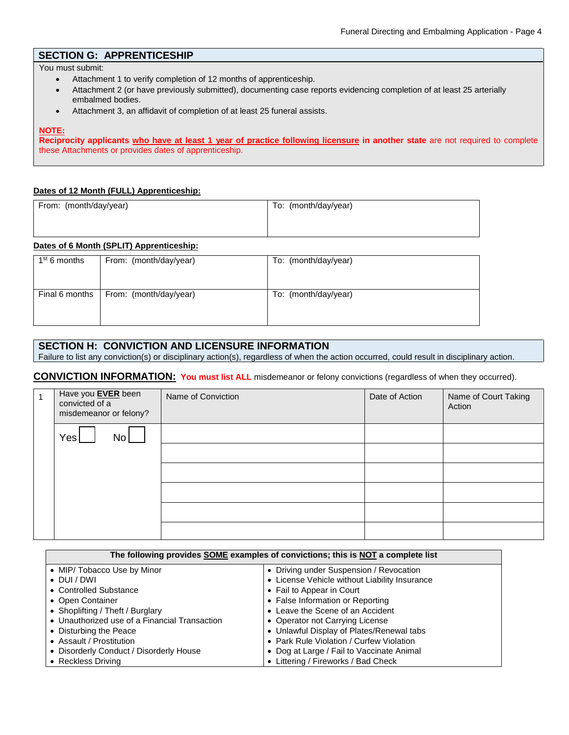# **SECTION G: APPRENTICESHIP**

You must submit:

- Attachment 1 to verify completion of 12 months of apprenticeship.
- Attachment 2 (or have previously submitted), documenting case reports evidencing completion of at least 25 arterially embalmed bodies.
- Attachment 3, an affidavit of completion of at least 25 funeral assists.

### **NOTE:**

**Reciprocity applicants who have at least 1 year of practice following licensure in another state** are not required to complete these Attachments or provides dates of apprenticeship.

## **Dates of 12 Month (FULL) Apprenticeship:**

| From: (month/day/year) | To: (month/day/year) |
|------------------------|----------------------|
|                        |                      |
|                        |                      |

# **Dates of 6 Month (SPLIT) Apprenticeship:**

| 1 <sup>st</sup> 6 months | From: (month/day/year)                  | To: (month/day/year) |
|--------------------------|-----------------------------------------|----------------------|
|                          | Final 6 months   From: (month/day/year) | To: (month/day/year) |

## **SECTION H: CONVICTION AND LICENSURE INFORMATION**

Failure to list any conviction(s) or disciplinary action(s), regardless of when the action occurred, could result in disciplinary action.

**CONVICTION INFORMATION: You must list ALL** misdemeanor or felony convictions (regardless of when they occurred).

| Have you <b>EVER</b> been<br>convicted of a<br>misdemeanor or felony? | Name of Conviction | Date of Action | Name of Court Taking<br>Action |
|-----------------------------------------------------------------------|--------------------|----------------|--------------------------------|
| No  <br>Yes                                                           |                    |                |                                |
|                                                                       |                    |                |                                |
|                                                                       |                    |                |                                |
|                                                                       |                    |                |                                |
|                                                                       |                    |                |                                |
|                                                                       |                    |                |                                |

| The following provides SOME examples of convictions; this is NOT a complete list |                                               |  |  |  |  |
|----------------------------------------------------------------------------------|-----------------------------------------------|--|--|--|--|
| • MIP/ Tobacco Use by Minor                                                      | • Driving under Suspension / Revocation       |  |  |  |  |
| $\bullet$ DUI/DWI                                                                | • License Vehicle without Liability Insurance |  |  |  |  |
| • Controlled Substance                                                           | • Fail to Appear in Court                     |  |  |  |  |
| • Open Container                                                                 | • False Information or Reporting              |  |  |  |  |
| • Shoplifting / Theft / Burglary                                                 | • Leave the Scene of an Accident              |  |  |  |  |
| • Unauthorized use of a Financial Transaction                                    | • Operator not Carrying License               |  |  |  |  |
| • Disturbing the Peace                                                           | • Unlawful Display of Plates/Renewal tabs     |  |  |  |  |
| • Assault / Prostitution                                                         | • Park Rule Violation / Curfew Violation      |  |  |  |  |
| • Disorderly Conduct / Disorderly House                                          | • Dog at Large / Fail to Vaccinate Animal     |  |  |  |  |
| • Reckless Driving                                                               | • Littering / Fireworks / Bad Check           |  |  |  |  |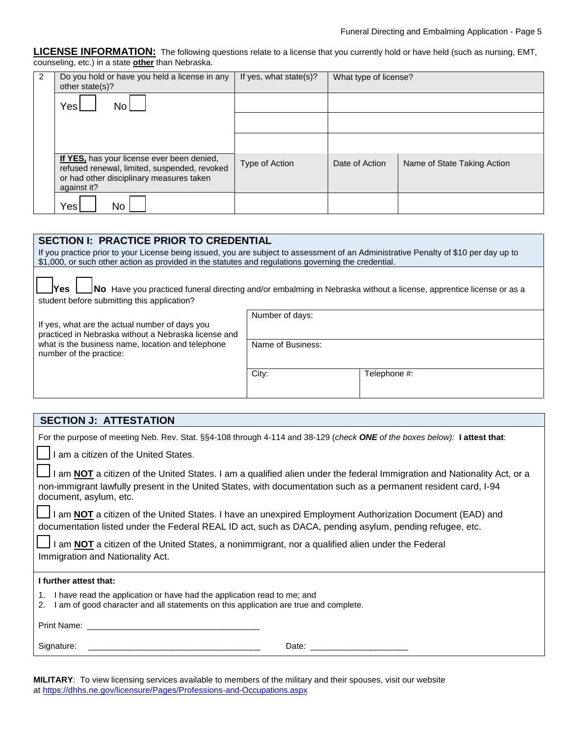**LICENSE INFORMATION:** The following questions relate to a license that you currently hold or have held (such as nursing, EMT, counseling, etc.) in a state **other** than Nebraska.

| 2 | Do you hold or have you held a license in any<br>other state(s)?                                                                                      | If yes, what state(s)? | What type of license? |                             |
|---|-------------------------------------------------------------------------------------------------------------------------------------------------------|------------------------|-----------------------|-----------------------------|
|   | N <sub>0</sub><br>Yes                                                                                                                                 |                        |                       |                             |
|   |                                                                                                                                                       |                        |                       |                             |
|   |                                                                                                                                                       |                        |                       |                             |
|   | If YES, has your license ever been denied,<br>refused renewal, limited, suspended, revoked<br>or had other disciplinary measures taken<br>against it? | Type of Action         | Date of Action        | Name of State Taking Action |
|   | Yes<br>No.                                                                                                                                            |                        |                       |                             |

| <b>SECTION I: PRACTICE PRIOR TO CREDENTIAL</b><br>If you practice prior to your License being issued, you are subject to assessment of an Administrative Penalty of \$10 per day up to<br>\$1,000, or such other action as provided in the statutes and regulations governing the credential. |       |              |  |  |  |  |  |
|-----------------------------------------------------------------------------------------------------------------------------------------------------------------------------------------------------------------------------------------------------------------------------------------------|-------|--------------|--|--|--|--|--|
| No Have you practiced funeral directing and/or embalming in Nebraska without a license, apprentice license or as a<br>Yes.<br>student before submitting this application?                                                                                                                     |       |              |  |  |  |  |  |
| Number of days:<br>If yes, what are the actual number of days you<br>practiced in Nebraska without a Nebraska license and                                                                                                                                                                     |       |              |  |  |  |  |  |
| what is the business name, location and telephone<br>Name of Business:<br>number of the practice:                                                                                                                                                                                             |       |              |  |  |  |  |  |
|                                                                                                                                                                                                                                                                                               | City: | Telephone #: |  |  |  |  |  |

| <b>SECTION J: ATTESTATION</b>                                                                                                                                                                                                                                        |
|----------------------------------------------------------------------------------------------------------------------------------------------------------------------------------------------------------------------------------------------------------------------|
| For the purpose of meeting Neb. Rev. Stat. §§4-108 through 4-114 and 38-129 (check ONE of the boxes below): I attest that:                                                                                                                                           |
| I am a citizen of the United States.                                                                                                                                                                                                                                 |
| I am NOT a citizen of the United States. I am a qualified alien under the federal Immigration and Nationality Act, or a<br>non-immigrant lawfully present in the United States, with documentation such as a permanent resident card, I-94<br>document, asylum, etc. |
| I am <b>NOT</b> a citizen of the United States. I have an unexpired Employment Authorization Document (EAD) and<br>documentation listed under the Federal REAL ID act, such as DACA, pending asylum, pending refugee, etc.                                           |
| I am NOT a citizen of the United States, a nonimmigrant, nor a qualified alien under the Federal                                                                                                                                                                     |
| Immigration and Nationality Act.                                                                                                                                                                                                                                     |
| I further attest that:                                                                                                                                                                                                                                               |
| I have read the application or have had the application read to me; and<br>1.<br>I am of good character and all statements on this application are true and complete.<br>2.                                                                                          |
| <b>Print Name:</b> Print Name:                                                                                                                                                                                                                                       |
| Signature: Signature:<br>Date: the contract of the contract of the contract of the contract of the contract of the contract of the contract of the contract of the contract of the contract of the contract of the contract of the contract of the cont              |

**MILITARY**: To view licensing services available to members of the military and their spouses, visit our website at https[://dhhs.ne.gov/licensure/Pages/Professions-and-Occupations.aspx](https://dhhs.ne.gov/licensure/Pages/Professions-and-Occupations.aspx)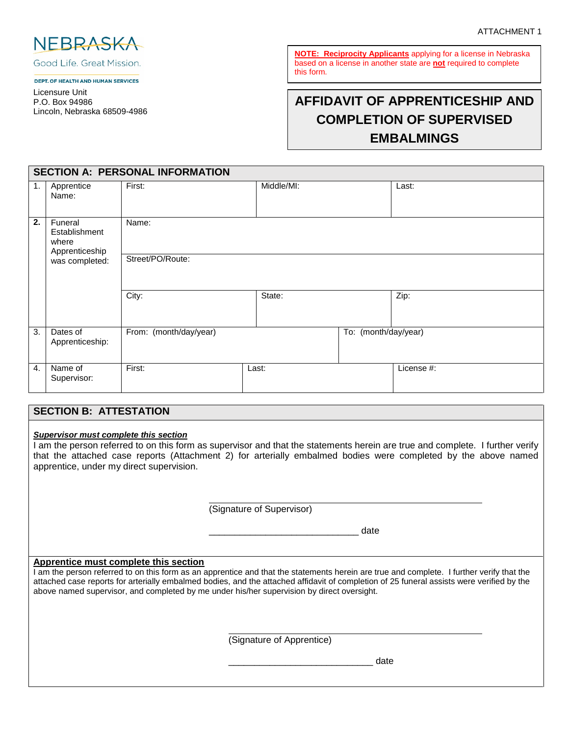

Good Life, Great Mission.

DEPT. OF HEALTH AND HUMAN SERVICES

Licensure Unit P.O. Box 94986 Lincoln, Nebraska 68509-4986

**NOTE: Reciprocity Applicants** applying for a license in Nebraska based on a license in another state are **not** required to complete this form.

# **AFFIDAVIT OF APPRENTICESHIP AND COMPLETION OF SUPERVISED EMBALMINGS**

|    | <b>SECTION A: PERSONAL INFORMATION</b>              |                        |            |                      |            |  |  |  |
|----|-----------------------------------------------------|------------------------|------------|----------------------|------------|--|--|--|
| 1. | Apprentice<br>Name:                                 | First:                 | Middle/MI: |                      | Last:      |  |  |  |
| 2. | Funeral<br>Establishment<br>where<br>Apprenticeship | Name:                  |            |                      |            |  |  |  |
|    | was completed:                                      | Street/PO/Route:       |            |                      |            |  |  |  |
|    |                                                     | City:                  | State:     |                      | Zip:       |  |  |  |
| 3. | Dates of<br>Apprenticeship:                         | From: (month/day/year) |            | To: (month/day/year) |            |  |  |  |
| 4. | Name of<br>Supervisor:                              | First:                 | Last:      |                      | License #: |  |  |  |

# **SECTION B: ATTESTATION**

#### *Supervisor must complete this section*

I am the person referred to on this form as supervisor and that the statements herein are true and complete. I further verify that the attached case reports (Attachment 2) for arterially embalmed bodies were completed by the above named apprentice, under my direct supervision.

(Signature of Supervisor)

\_\_\_\_\_\_\_\_\_\_\_\_\_\_\_\_\_\_\_\_\_\_\_\_\_\_\_\_\_ date

## **Apprentice must complete this section**

I am the person referred to on this form as an apprentice and that the statements herein are true and complete. I further verify that the attached case reports for arterially embalmed bodies, and the attached affidavit of completion of 25 funeral assists were verified by the above named supervisor, and completed by me under his/her supervision by direct oversight.

(Signature of Apprentice)

\_\_\_\_\_\_\_\_\_\_\_\_\_\_\_\_\_\_\_\_\_\_\_\_\_\_\_\_ date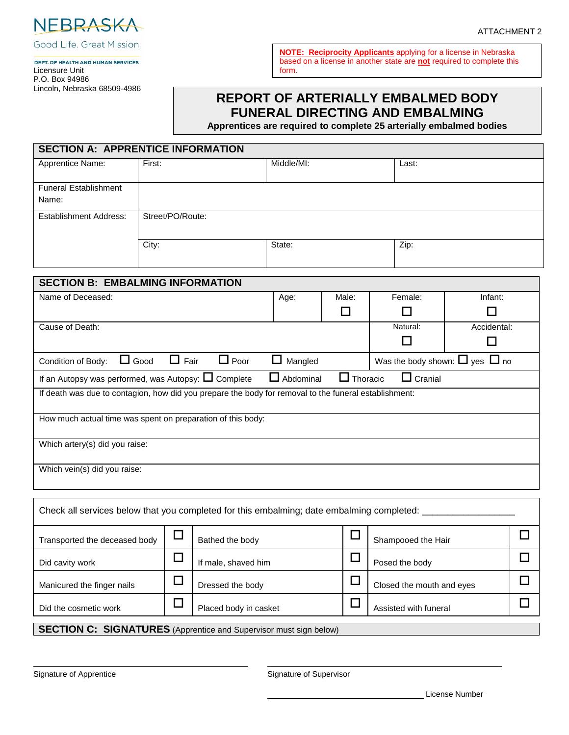

Good Life. Great Mission.

#### DEPT. OF HEALTH AND HUMAN SERVICES Licensure Unit P.O. Box 94986 Lincoln, Nebraska 68509-4986

**NOTE: Reciprocity Applicants** applying for a license in Nebraska based on a license in another state are **not** required to complete this form.

# **REPORT OF ARTERIALLY EMBALMED BODY FUNERAL DIRECTING AND EMBALMING**

**Apprentices are required to complete 25 arterially embalmed bodies**

| Apprentice Name:                                                                                      | First:                     |             | Middle/MI:       |                 | Last:                                    |             |  |  |  |
|-------------------------------------------------------------------------------------------------------|----------------------------|-------------|------------------|-----------------|------------------------------------------|-------------|--|--|--|
|                                                                                                       |                            |             |                  |                 |                                          |             |  |  |  |
| <b>Funeral Establishment</b>                                                                          |                            |             |                  |                 |                                          |             |  |  |  |
| Name:                                                                                                 |                            |             |                  |                 |                                          |             |  |  |  |
| <b>Establishment Address:</b>                                                                         | Street/PO/Route:           |             |                  |                 |                                          |             |  |  |  |
|                                                                                                       |                            |             |                  |                 |                                          |             |  |  |  |
|                                                                                                       | City:                      |             | State:           |                 | Zip:                                     |             |  |  |  |
|                                                                                                       |                            |             |                  |                 |                                          |             |  |  |  |
|                                                                                                       |                            |             |                  |                 |                                          |             |  |  |  |
| <b>SECTION B: EMBALMING INFORMATION</b>                                                               |                            |             |                  |                 |                                          |             |  |  |  |
| Name of Deceased:                                                                                     |                            |             | Age:             | Male:           | Female:                                  | Infant:     |  |  |  |
|                                                                                                       |                            |             |                  | □               | П                                        | П           |  |  |  |
| Cause of Death:                                                                                       |                            |             |                  |                 | Natural:                                 | Accidental: |  |  |  |
|                                                                                                       |                            |             |                  |                 | $\Box$                                   | $\Box$      |  |  |  |
| Condition of Body:                                                                                    | $\Box$ Fair<br>$\Box$ Good | $\Box$ Poor | $\Box$ Mangled   |                 | Was the body shown: $\Box$ yes $\Box$ no |             |  |  |  |
| If an Autopsy was performed, was Autopsy: $\square$ Complete                                          |                            |             | $\Box$ Abdominal | $\Box$ Thoracic | $\Box$ Cranial                           |             |  |  |  |
| If death was due to contagion, how did you prepare the body for removal to the funeral establishment: |                            |             |                  |                 |                                          |             |  |  |  |
|                                                                                                       |                            |             |                  |                 |                                          |             |  |  |  |
| How much actual time was spent on preparation of this body:                                           |                            |             |                  |                 |                                          |             |  |  |  |
|                                                                                                       |                            |             |                  |                 |                                          |             |  |  |  |
|                                                                                                       |                            |             |                  |                 |                                          |             |  |  |  |
| Which artery(s) did you raise:                                                                        |                            |             |                  |                 |                                          |             |  |  |  |
| Which vein(s) did you raise:                                                                          |                            |             |                  |                 |                                          |             |  |  |  |
|                                                                                                       |                            |             |                  |                 |                                          |             |  |  |  |
|                                                                                                       |                            |             |                  |                 |                                          |             |  |  |  |
| Check all services below that you completed for this embalming; date embalming completed:             |                            |             |                  |                 |                                          |             |  |  |  |

| Hansported the deceased body                                             |  | Dallieu liie Duuy     |  | <b>DIMILIPULE LIGHT</b>   |  |  |
|--------------------------------------------------------------------------|--|-----------------------|--|---------------------------|--|--|
| Did cavity work                                                          |  | If male, shaved him   |  | Posed the body            |  |  |
| Manicured the finger nails                                               |  | Dressed the body      |  | Closed the mouth and eyes |  |  |
| Did the cosmetic work                                                    |  | Placed body in casket |  | Assisted with funeral     |  |  |
| <b>SECTION C: SIGNATURES</b> (Apprentice and Supervisor must sign below) |  |                       |  |                           |  |  |

Signature of Apprentice Signature of Supervisor